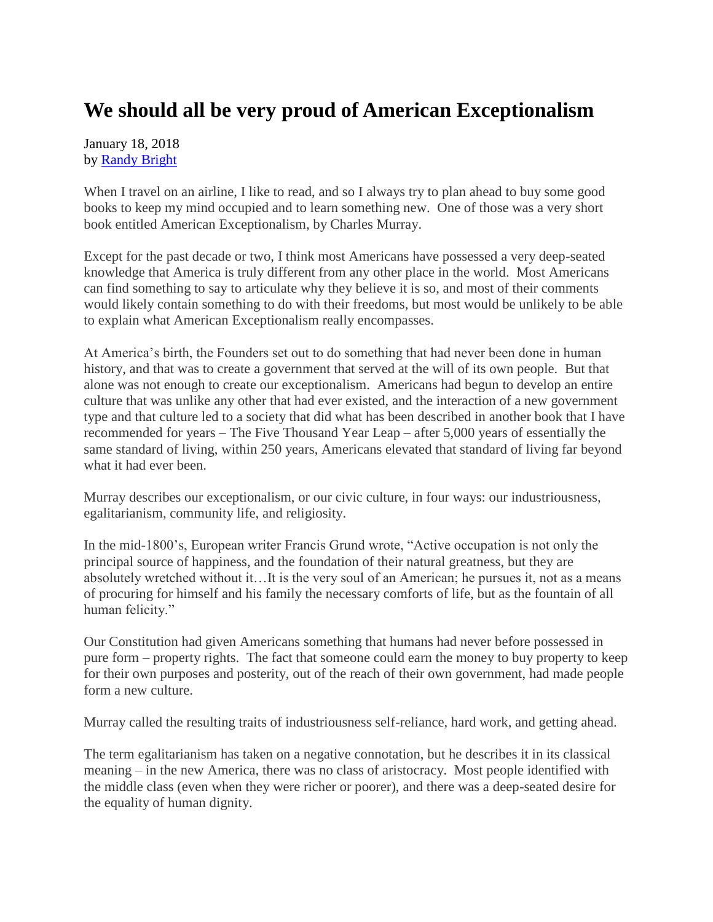## **We should all be very proud of American Exceptionalism**

January 18, 2018 by [Randy Bright](http://tulsabeacon.com/writers/randy-bright/)

When I travel on an airline, I like to read, and so I always try to plan ahead to buy some good books to keep my mind occupied and to learn something new. One of those was a very short book entitled American Exceptionalism, by Charles Murray.

Except for the past decade or two, I think most Americans have possessed a very deep-seated knowledge that America is truly different from any other place in the world. Most Americans can find something to say to articulate why they believe it is so, and most of their comments would likely contain something to do with their freedoms, but most would be unlikely to be able to explain what American Exceptionalism really encompasses.

At America's birth, the Founders set out to do something that had never been done in human history, and that was to create a government that served at the will of its own people. But that alone was not enough to create our exceptionalism. Americans had begun to develop an entire culture that was unlike any other that had ever existed, and the interaction of a new government type and that culture led to a society that did what has been described in another book that I have recommended for years – The Five Thousand Year Leap – after 5,000 years of essentially the same standard of living, within 250 years, Americans elevated that standard of living far beyond what it had ever been.

Murray describes our exceptionalism, or our civic culture, in four ways: our industriousness, egalitarianism, community life, and religiosity.

In the mid-1800's, European writer Francis Grund wrote, "Active occupation is not only the principal source of happiness, and the foundation of their natural greatness, but they are absolutely wretched without it…It is the very soul of an American; he pursues it, not as a means of procuring for himself and his family the necessary comforts of life, but as the fountain of all human felicity."

Our Constitution had given Americans something that humans had never before possessed in pure form – property rights. The fact that someone could earn the money to buy property to keep for their own purposes and posterity, out of the reach of their own government, had made people form a new culture.

Murray called the resulting traits of industriousness self-reliance, hard work, and getting ahead.

The term egalitarianism has taken on a negative connotation, but he describes it in its classical meaning – in the new America, there was no class of aristocracy. Most people identified with the middle class (even when they were richer or poorer), and there was a deep-seated desire for the equality of human dignity.